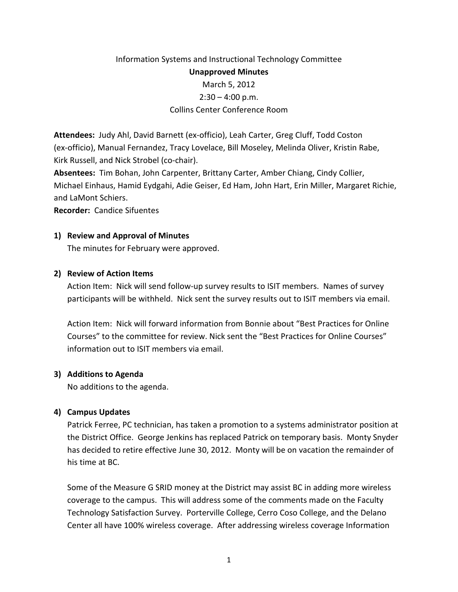# Information Systems and Instructional Technology Committee Unapproved Minutes March 5, 2012  $2:30 - 4:00$  p.m. Collins Center Conference Room

Attendees: Judy Ahl, David Barnett (ex-officio), Leah Carter, Greg Cluff, Todd Coston (ex-officio), Manual Fernandez, Tracy Lovelace, Bill Moseley, Melinda Oliver, Kristin Rabe, Kirk Russell, and Nick Strobel (co-chair).

Absentees: Tim Bohan, John Carpenter, Brittany Carter, Amber Chiang, Cindy Collier, Michael Einhaus, Hamid Eydgahi, Adie Geiser, Ed Ham, John Hart, Erin Miller, Margaret Richie, and LaMont Schiers.

Recorder: Candice Sifuentes

### 1) Review and Approval of Minutes

The minutes for February were approved.

### 2) Review of Action Items

Action Item: Nick will send follow-up survey results to ISIT members. Names of survey participants will be withheld. Nick sent the survey results out to ISIT members via email.

Action Item: Nick will forward information from Bonnie about "Best Practices for Online Courses" to the committee for review. Nick sent the "Best Practices for Online Courses" information out to ISIT members via email.

### 3) Additions to Agenda

No additions to the agenda.

## 4) Campus Updates

Patrick Ferree, PC technician, has taken a promotion to a systems administrator position at the District Office. George Jenkins has replaced Patrick on temporary basis. Monty Snyder has decided to retire effective June 30, 2012. Monty will be on vacation the remainder of his time at BC.

Some of the Measure G SRID money at the District may assist BC in adding more wireless coverage to the campus. This will address some of the comments made on the Faculty Technology Satisfaction Survey. Porterville College, Cerro Coso College, and the Delano Center all have 100% wireless coverage. After addressing wireless coverage Information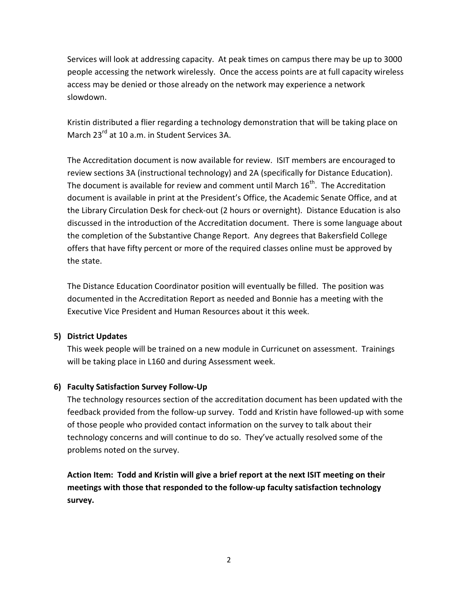Services will look at addressing capacity. At peak times on campus there may be up to 3000 people accessing the network wirelessly. Once the access points are at full capacity wireless access may be denied or those already on the network may experience a network slowdown.

Kristin distributed a flier regarding a technology demonstration that will be taking place on March 23<sup>rd</sup> at 10 a.m. in Student Services 3A.

The Accreditation document is now available for review. ISIT members are encouraged to review sections 3A (instructional technology) and 2A (specifically for Distance Education). The document is available for review and comment until March  $16^{th}$ . The Accreditation document is available in print at the President's Office, the Academic Senate Office, and at the Library Circulation Desk for check-out (2 hours or overnight). Distance Education is also discussed in the introduction of the Accreditation document. There is some language about the completion of the Substantive Change Report. Any degrees that Bakersfield College offers that have fifty percent or more of the required classes online must be approved by the state.

The Distance Education Coordinator position will eventually be filled. The position was documented in the Accreditation Report as needed and Bonnie has a meeting with the Executive Vice President and Human Resources about it this week.

## 5) District Updates

This week people will be trained on a new module in Curricunet on assessment. Trainings will be taking place in L160 and during Assessment week.

# 6) Faculty Satisfaction Survey Follow-Up

The technology resources section of the accreditation document has been updated with the feedback provided from the follow-up survey. Todd and Kristin have followed-up with some of those people who provided contact information on the survey to talk about their technology concerns and will continue to do so. They've actually resolved some of the problems noted on the survey.

Action Item: Todd and Kristin will give a brief report at the next ISIT meeting on their meetings with those that responded to the follow-up faculty satisfaction technology survey.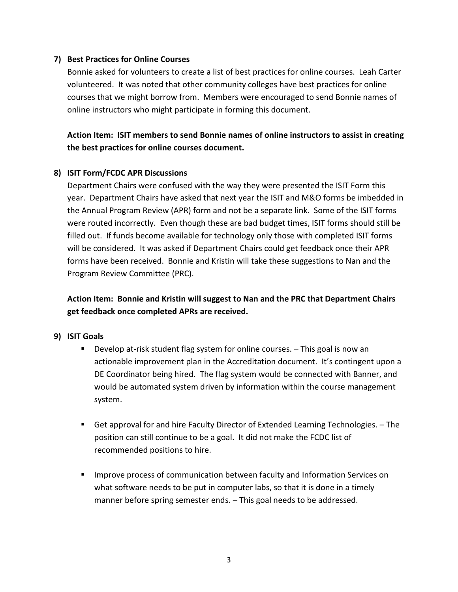### 7) Best Practices for Online Courses

Bonnie asked for volunteers to create a list of best practices for online courses. Leah Carter volunteered. It was noted that other community colleges have best practices for online courses that we might borrow from. Members were encouraged to send Bonnie names of online instructors who might participate in forming this document.

Action Item: ISIT members to send Bonnie names of online instructors to assist in creating the best practices for online courses document.

### 8) ISIT Form/FCDC APR Discussions

Department Chairs were confused with the way they were presented the ISIT Form this year. Department Chairs have asked that next year the ISIT and M&O forms be imbedded in the Annual Program Review (APR) form and not be a separate link. Some of the ISIT forms were routed incorrectly. Even though these are bad budget times, ISIT forms should still be filled out. If funds become available for technology only those with completed ISIT forms will be considered. It was asked if Department Chairs could get feedback once their APR forms have been received. Bonnie and Kristin will take these suggestions to Nan and the Program Review Committee (PRC).

Action Item: Bonnie and Kristin will suggest to Nan and the PRC that Department Chairs get feedback once completed APRs are received.

### 9) ISIT Goals

- **Develop at-risk student flag system for online courses.** This goal is now an actionable improvement plan in the Accreditation document. It's contingent upon a DE Coordinator being hired. The flag system would be connected with Banner, and would be automated system driven by information within the course management system.
- Get approval for and hire Faculty Director of Extended Learning Technologies. The position can still continue to be a goal. It did not make the FCDC list of recommended positions to hire.
- **IMPROVE PROCESS OF COMMUNICATION DETAINED FACULTY AND INFORMATION SERVICES ON** what software needs to be put in computer labs, so that it is done in a timely manner before spring semester ends. – This goal needs to be addressed.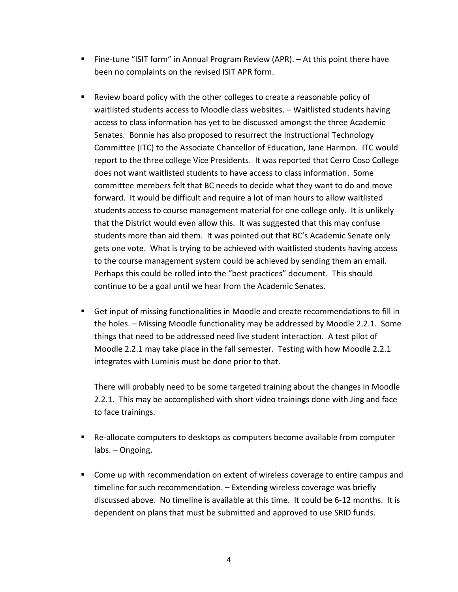- Fine-tune "ISIT form" in Annual Program Review (APR).  $-$  At this point there have been no complaints on the revised ISIT APR form.
- Review board policy with the other colleges to create a reasonable policy of waitlisted students access to Moodle class websites. – Waitlisted students having access to class information has yet to be discussed amongst the three Academic Senates. Bonnie has also proposed to resurrect the Instructional Technology Committee (ITC) to the Associate Chancellor of Education, Jane Harmon. ITC would report to the three college Vice Presidents. It was reported that Cerro Coso College does not want waitlisted students to have access to class information. Some committee members felt that BC needs to decide what they want to do and move forward. It would be difficult and require a lot of man hours to allow waitlisted students access to course management material for one college only. It is unlikely that the District would even allow this. It was suggested that this may confuse students more than aid them. It was pointed out that BC's Academic Senate only gets one vote. What is trying to be achieved with waitlisted students having access to the course management system could be achieved by sending them an email. Perhaps this could be rolled into the "best practices" document. This should continue to be a goal until we hear from the Academic Senates.
- Get input of missing functionalities in Moodle and create recommendations to fill in the holes. – Missing Moodle functionality may be addressed by Moodle 2.2.1. Some things that need to be addressed need live student interaction. A test pilot of Moodle 2.2.1 may take place in the fall semester. Testing with how Moodle 2.2.1 integrates with Luminis must be done prior to that.

There will probably need to be some targeted training about the changes in Moodle 2.2.1. This may be accomplished with short video trainings done with Jing and face to face trainings.

- Re-allocate computers to desktops as computers become available from computer labs. – Ongoing.
- Come up with recommendation on extent of wireless coverage to entire campus and timeline for such recommendation. – Extending wireless coverage was briefly discussed above. No timeline is available at this time. It could be 6-12 months. It is dependent on plans that must be submitted and approved to use SRID funds.